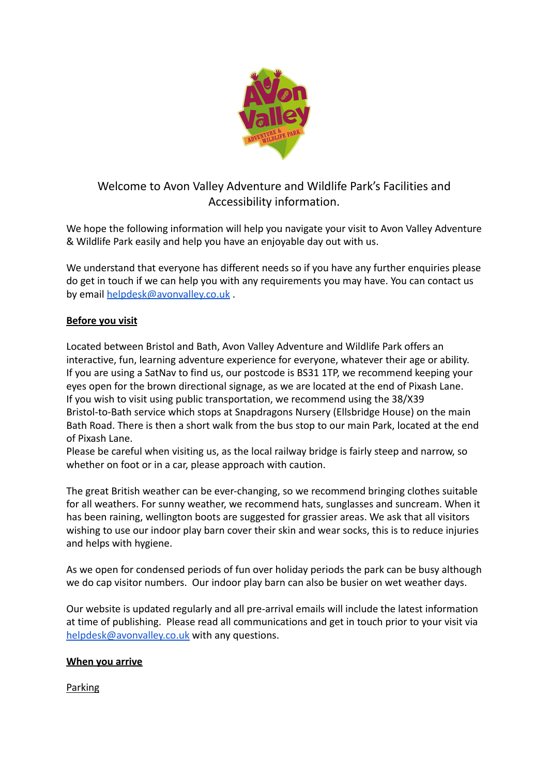

# Welcome to Avon Valley Adventure and Wildlife Park's Facilities and Accessibility information.

We hope the following information will help you navigate your visit to Avon Valley Adventure & Wildlife Park easily and help you have an enjoyable day out with us.

We understand that everyone has different needs so if you have any further enquiries please do get in touch if we can help you with any requirements you may have. You can contact us by email [helpdesk@avonvalley.co.uk](mailto:helpdesk@avonvalley.co.uk) .

# **Before you visit**

Located between Bristol and Bath, Avon Valley Adventure and Wildlife Park offers an interactive, fun, learning adventure experience for everyone, whatever their age or ability. If you are using a SatNav to find us, our postcode is BS31 1TP, we recommend keeping your eyes open for the brown directional signage, as we are located at the end of Pixash Lane. If you wish to visit using public transportation, we recommend using the 38/X39 Bristol-to-Bath service which stops at Snapdragons Nursery (Ellsbridge House) on the main Bath Road. There is then a short walk from the bus stop to our main Park, located at the end of Pixash Lane.

Please be careful when visiting us, as the local railway bridge is fairly steep and narrow, so whether on foot or in a car, please approach with caution.

The great British weather can be ever-changing, so we recommend bringing clothes suitable for all weathers. For sunny weather, we recommend hats, sunglasses and suncream. When it has been raining, wellington boots are suggested for grassier areas. We ask that all visitors wishing to use our indoor play barn cover their skin and wear socks, this is to reduce injuries and helps with hygiene.

As we open for condensed periods of fun over holiday periods the park can be busy although we do cap visitor numbers. Our indoor play barn can also be busier on wet weather days.

Our website is updated regularly and all pre-arrival emails will include the latest information at time of publishing. Please read all communications and get in touch prior to your visit via [helpdesk@avonvalley.co.uk](mailto:helpdesk@avonvalley.co.uk) with any questions.

# **When you arrive**

**Parking**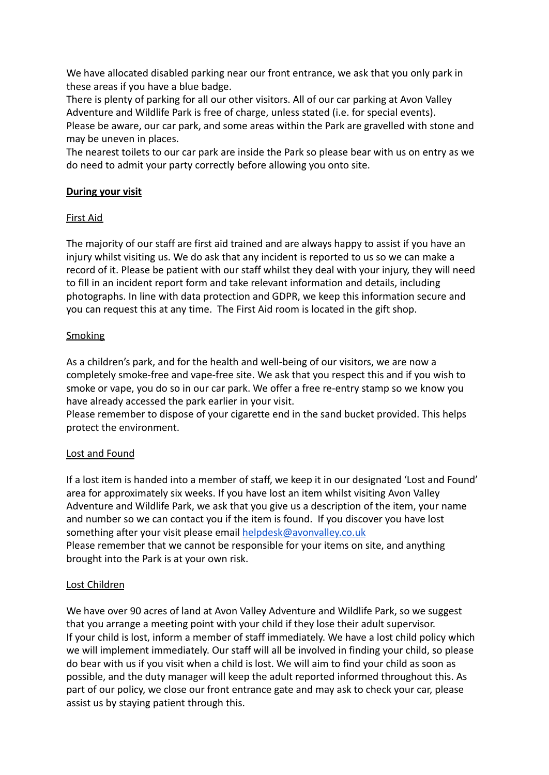We have allocated disabled parking near our front entrance, we ask that you only park in these areas if you have a blue badge.

There is plenty of parking for all our other visitors. All of our car parking at Avon Valley Adventure and Wildlife Park is free of charge, unless stated (i.e. for special events). Please be aware, our car park, and some areas within the Park are gravelled with stone and may be uneven in places.

The nearest toilets to our car park are inside the Park so please bear with us on entry as we do need to admit your party correctly before allowing you onto site.

# **During your visit**

### First Aid

The majority of our staff are first aid trained and are always happy to assist if you have an injury whilst visiting us. We do ask that any incident is reported to us so we can make a record of it. Please be patient with our staff whilst they deal with your injury, they will need to fill in an incident report form and take relevant information and details, including photographs. In line with data protection and GDPR, we keep this information secure and you can request this at any time. The First Aid room is located in the gift shop.

# **Smoking**

As a children's park, and for the health and well-being of our visitors, we are now a completely smoke-free and vape-free site. We ask that you respect this and if you wish to smoke or vape, you do so in our car park. We offer a free re-entry stamp so we know you have already accessed the park earlier in your visit.

Please remember to dispose of your cigarette end in the sand bucket provided. This helps protect the environment.

### Lost and Found

If a lost item is handed into a member of staff, we keep it in our designated 'Lost and Found' area for approximately six weeks. If you have lost an item whilst visiting Avon Valley Adventure and Wildlife Park, we ask that you give us a description of the item, your name and number so we can contact you if the item is found. If you discover you have lost something after your visit please email [helpdesk@avonvalley.co.uk](mailto:helpdesk@avonvalley.co.uk) Please remember that we cannot be responsible for your items on site, and anything brought into the Park is at your own risk.

### Lost Children

We have over 90 acres of land at Avon Valley Adventure and Wildlife Park, so we suggest that you arrange a meeting point with your child if they lose their adult supervisor. If your child is lost, inform a member of staff immediately. We have a lost child policy which we will implement immediately. Our staff will all be involved in finding your child, so please do bear with us if you visit when a child is lost. We will aim to find your child as soon as possible, and the duty manager will keep the adult reported informed throughout this. As part of our policy, we close our front entrance gate and may ask to check your car, please assist us by staying patient through this.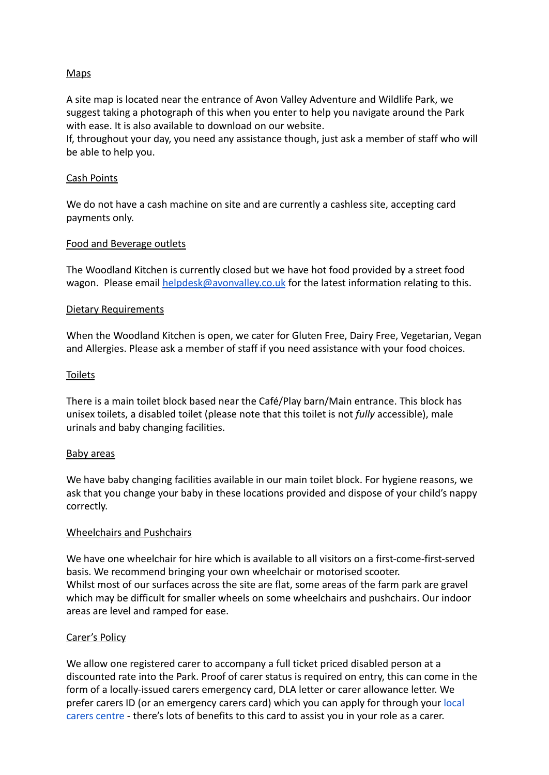# Maps

A site map is located near the entrance of Avon Valley Adventure and Wildlife Park, we suggest taking a photograph of this when you enter to help you navigate around the Park with ease. It is also available to download on our website.

If, throughout your day, you need any assistance though, just ask a member of staff who will be able to help you.

### Cash Points

We do not have a cash machine on site and are currently a cashless site, accepting card payments only.

#### Food and Beverage outlets

The Woodland Kitchen is currently closed but we have hot food provided by a street food wagon. Please email [helpdesk@avonvalley.co.uk](mailto:helpdesk@avonvalley.co.uk) for the latest information relating to this.

#### Dietary Requirements

When the Woodland Kitchen is open, we cater for Gluten Free, Dairy Free, Vegetarian, Vegan and Allergies. Please ask a member of staff if you need assistance with your food choices.

#### Toilets

There is a main toilet block based near the Café/Play barn/Main entrance. This block has unisex toilets, a disabled toilet (please note that this toilet is not *fully* accessible), male urinals and baby changing facilities.

#### Baby areas

We have baby changing facilities available in our main toilet block. For hygiene reasons, we ask that you change your baby in these locations provided and dispose of your child's nappy correctly.

### Wheelchairs and Pushchairs

We have one wheelchair for hire which is available to all visitors on a first-come-first-served basis. We recommend bringing your own wheelchair or motorised scooter. Whilst most of our surfaces across the site are flat, some areas of the farm park are gravel which may be difficult for smaller wheels on some wheelchairs and pushchairs. Our indoor areas are level and ramped for ease.

#### Carer's Policy

We allow one registered carer to accompany a full ticket priced disabled person at a discounted rate into the Park. Proof of carer status is required on entry, this can come in the form of a locally-issued carers emergency card, DLA letter or carer allowance letter. We prefer carers ID (or an emergency carers card) which you can apply for through your [local](https://www.carersuk.org/help-and-advice/get-support/local-support) [carers centre](https://www.carersuk.org/help-and-advice/get-support/local-support) - there's lots of benefits to this card to assist you in your role as a carer.